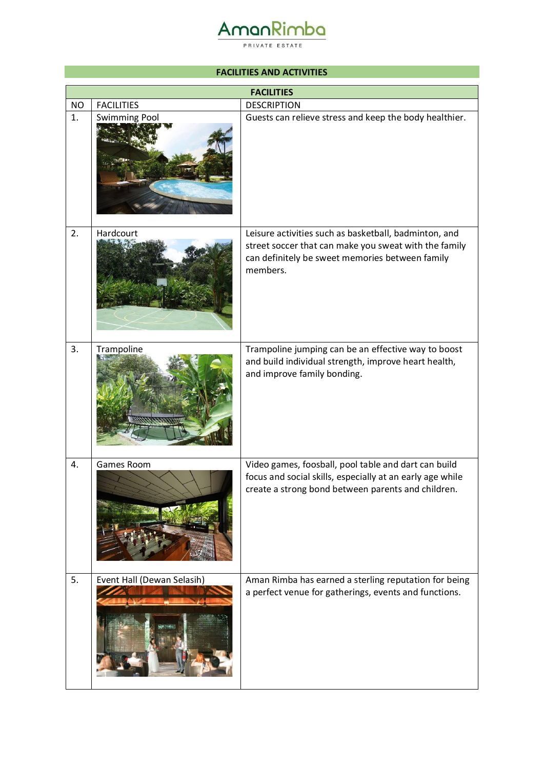# AmanRimba

PRIVATE ESTATE

#### **FACILITIES AND ACTIVITIES**

|           | <b>FACILITIES</b>          |                                                                                                                                                                               |  |
|-----------|----------------------------|-------------------------------------------------------------------------------------------------------------------------------------------------------------------------------|--|
| <b>NO</b> | <b>FACILITIES</b>          | <b>DESCRIPTION</b>                                                                                                                                                            |  |
| 1.        | <b>Swimming Pool</b>       | Guests can relieve stress and keep the body healthier.                                                                                                                        |  |
| 2.        | Hardcourt                  | Leisure activities such as basketball, badminton, and<br>street soccer that can make you sweat with the family<br>can definitely be sweet memories between family<br>members. |  |
| 3.        | Trampoline                 | Trampoline jumping can be an effective way to boost<br>and build individual strength, improve heart health,<br>and improve family bonding.                                    |  |
| 4.        | Games Room                 | Video games, foosball, pool table and dart can build<br>focus and social skills, especially at an early age while<br>create a strong bond between parents and children.       |  |
| 5.        | Event Hall (Dewan Selasih) | Aman Rimba has earned a sterling reputation for being<br>a perfect venue for gatherings, events and functions.                                                                |  |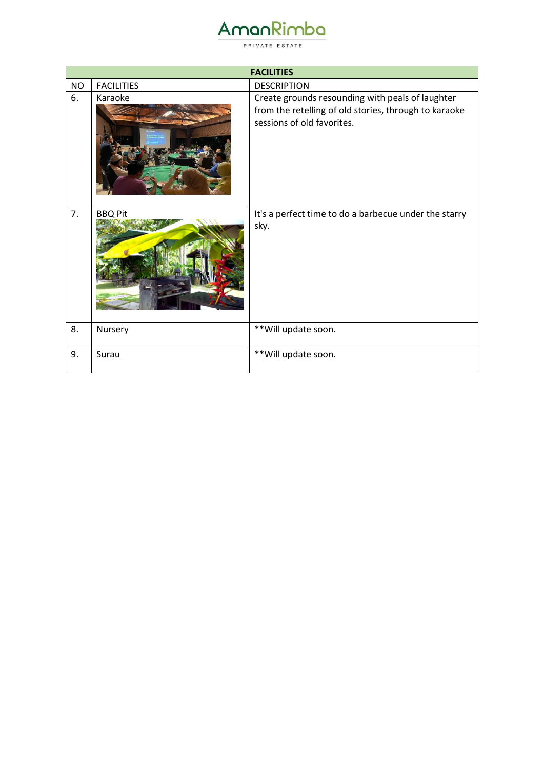| vma<br>▃ | $\mathbf{r}$ |
|----------|--------------|
|          |              |

PRIVATE ESTATE

|           | <b>FACILITIES</b> |                                                                                                                                         |  |
|-----------|-------------------|-----------------------------------------------------------------------------------------------------------------------------------------|--|
| <b>NO</b> | <b>FACILITIES</b> | <b>DESCRIPTION</b>                                                                                                                      |  |
| 6.        | Karaoke           | Create grounds resounding with peals of laughter<br>from the retelling of old stories, through to karaoke<br>sessions of old favorites. |  |
| 7.        | <b>BBQ Pit</b>    | It's a perfect time to do a barbecue under the starry<br>sky.                                                                           |  |
| 8.        | Nursery           | ** Will update soon.                                                                                                                    |  |
| 9.        | Surau             | ** Will update soon.                                                                                                                    |  |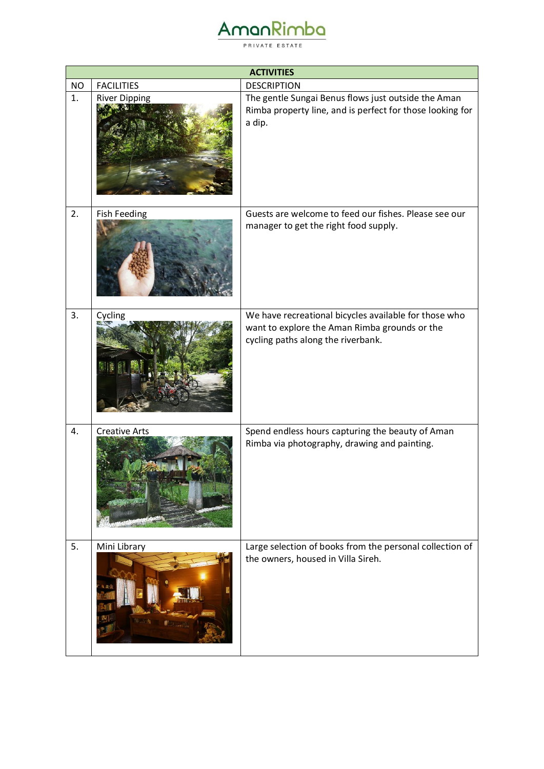| AMOOKIM |  |
|---------|--|
|         |  |

PRIVATE ESTATE

|                 | <b>ACTIVITIES</b>                         |                                                                                                                                                  |  |
|-----------------|-------------------------------------------|--------------------------------------------------------------------------------------------------------------------------------------------------|--|
| <b>NO</b><br>1. | <b>FACILITIES</b><br><b>River Dipping</b> | <b>DESCRIPTION</b><br>The gentle Sungai Benus flows just outside the Aman<br>Rimba property line, and is perfect for those looking for<br>a dip. |  |
| 2.              | <b>Fish Feeding</b>                       | Guests are welcome to feed our fishes. Please see our<br>manager to get the right food supply.                                                   |  |
| 3.              | Cycling                                   | We have recreational bicycles available for those who<br>want to explore the Aman Rimba grounds or the<br>cycling paths along the riverbank.     |  |
| 4.              | <b>Creative Arts</b>                      | Spend endless hours capturing the beauty of Aman<br>Rimba via photography, drawing and painting.                                                 |  |
| 5.              | Mini Library                              | Large selection of books from the personal collection of<br>the owners, housed in Villa Sireh.                                                   |  |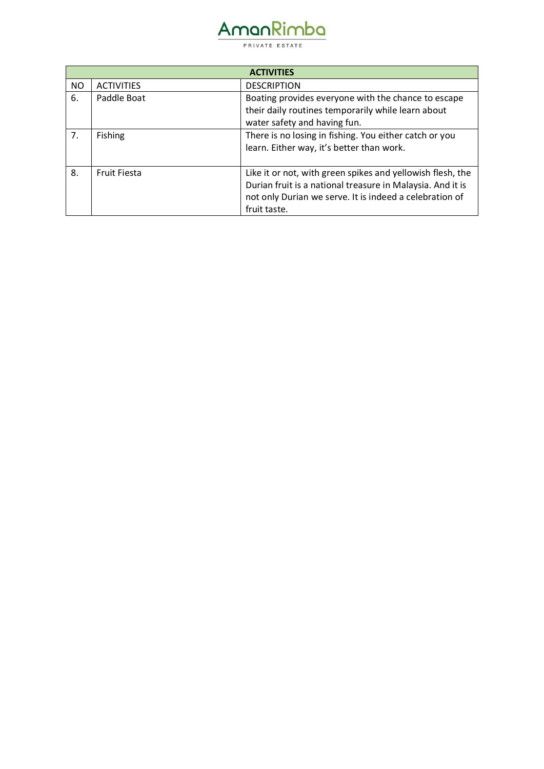## AmanRimba

PRIVATE ESTATE

| <b>ACTIVITIES</b> |                     |                                                            |  |
|-------------------|---------------------|------------------------------------------------------------|--|
| NO                | <b>ACTIVITIES</b>   | <b>DESCRIPTION</b>                                         |  |
| 6.                | Paddle Boat         | Boating provides everyone with the chance to escape        |  |
|                   |                     | their daily routines temporarily while learn about         |  |
|                   |                     | water safety and having fun.                               |  |
| 7 <sub>1</sub>    | <b>Fishing</b>      | There is no losing in fishing. You either catch or you     |  |
|                   |                     | learn. Either way, it's better than work.                  |  |
|                   |                     |                                                            |  |
| 8.                | <b>Fruit Fiesta</b> | Like it or not, with green spikes and yellowish flesh, the |  |
|                   |                     | Durian fruit is a national treasure in Malaysia. And it is |  |
|                   |                     | not only Durian we serve. It is indeed a celebration of    |  |
|                   |                     | fruit taste.                                               |  |